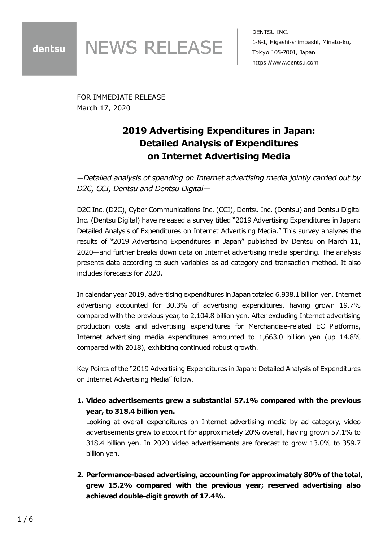**NEWS RELEASE** 

DENTSU INC. 1-8-1, Higashi-shimbashi, Minato-ku, Tokyo 105-7001, Japan https://www.dentsu.com

FOR IMMEDIATE RELEASE March 17, 2020

# **2019 Advertising Expenditures in Japan: Detailed Analysis of Expenditures on Internet Advertising Media**

*—Detailed analysis of spending on Internet advertising media jointly carried out by D2C, CCI, Dentsu and Dentsu Digital—*

D2C Inc. (D2C), Cyber Communications Inc. (CCI), Dentsu Inc. (Dentsu) and Dentsu Digital Inc. (Dentsu Digital) have released a survey titled "2019 Advertising Expenditures in Japan: Detailed Analysis of Expenditures on Internet Advertising Media." This survey analyzes the results of "2019 Advertising Expenditures in Japan" published by Dentsu on March 11, 2020—and further breaks down data on Internet advertising media spending. The analysis presents data according to such variables as ad category and transaction method. It also includes forecasts for 2020.

In calendar year 2019, advertising expenditures in Japan totaled 6,938.1 billion yen. Internet advertising accounted for 30.3% of advertising expenditures, having grown 19.7% compared with the previous year, to 2,104.8 billion yen. After excluding Internet advertising production costs and advertising expenditures for Merchandise-related EC Platforms, Internet advertising media expenditures amounted to 1,663.0 billion yen (up 14.8% compared with 2018), exhibiting continued robust growth.

Key Points of the "2019 Advertising Expenditures in Japan: Detailed Analysis of Expenditures on Internet Advertising Media" follow.

**1. Video advertisements grew a substantial 57.1% compared with the previous year, to 318.4 billion yen.**

Looking at overall expenditures on Internet advertising media by ad category, video advertisements grew to account for approximately 20% overall, having grown 57.1% to 318.4 billion yen. In 2020 video advertisements are forecast to grow 13.0% to 359.7 billion yen.

**2. Performance-based advertising, accounting for approximately 80% of the total, grew 15.2% compared with the previous year; reserved advertising also achieved double-digit growth of 17.4%.**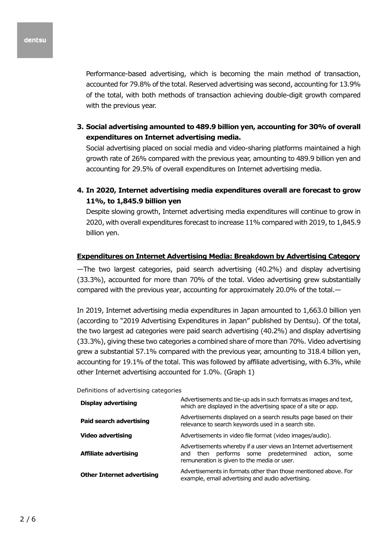Performance-based advertising, which is becoming the main method of transaction, accounted for 79.8% of the total. Reserved advertising was second, accounting for 13.9% of the total, with both methods of transaction achieving double-digit growth compared with the previous year.

**3. Social advertising amounted to 489.9 billion yen, accounting for 30% of overall expenditures on Internet advertising media.**

Social advertising placed on social media and video-sharing platforms maintained a high growth rate of 26% compared with the previous year, amounting to 489.9 billion yen and accounting for 29.5% of overall expenditures on Internet advertising media.

**4. In 2020, Internet advertising media expenditures overall are forecast to grow 11%, to 1,845.9 billion yen**

Despite slowing growth, Internet advertising media expenditures will continue to grow in 2020, with overall expenditures forecast to increase 11% compared with 2019, to 1,845.9 billion yen.

#### **Expenditures on Internet Advertising Media: Breakdown by Advertising Category**

—The two largest categories, paid search advertising (40.2%) and display advertising (33.3%), accounted for more than 70% of the total. Video advertising grew substantially compared with the previous year, accounting for approximately 20.0% of the total.—

In 2019, Internet advertising media expenditures in Japan amounted to 1,663.0 billion yen (according to "2019 Advertising Expenditures in Japan" published by Dentsu). Of the total, the two largest ad categories were paid search advertising (40.2%) and display advertising (33.3%), giving these two categories a combined share of more than 70%. Video advertising grew a substantial 57.1% compared with the previous year, amounting to 318.4 billion yen, accounting for 19.1% of the total. This was followed by affiliate advertising, with 6.3%, while other Internet advertising accounted for 1.0%. (Graph 1)

#### Definitions of advertising categories

| <b>Display advertising</b>        | Advertisements and tie-up ads in such formats as images and text,<br>which are displayed in the advertising space of a site or app.                                        |  |
|-----------------------------------|----------------------------------------------------------------------------------------------------------------------------------------------------------------------------|--|
| <b>Paid search advertising</b>    | Advertisements displayed on a search results page based on their<br>relevance to search keywords used in a search site.                                                    |  |
| Video advertising                 | Advertisements in video file format (video images/audio).                                                                                                                  |  |
| Affiliate advertising             | Advertisements whereby if a user views an Internet advertisement<br>and then performs some predetermined<br>action,<br>some<br>remuneration is given to the media or user. |  |
| <b>Other Internet advertising</b> | Advertisements in formats other than those mentioned above. For<br>example, email advertising and audio advertising.                                                       |  |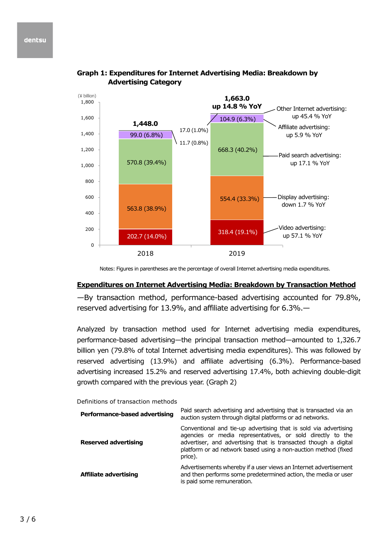

**Graph 1: Expenditures for Internet Advertising Media: Breakdown by Advertising Category**

Notes: Figures in parentheses are the percentage of overall Internet advertising media expenditures.

#### **Expenditures on Internet Advertising Media: Breakdown by Transaction Method**

—By transaction method, performance-based advertising accounted for 79.8%, reserved advertising for 13.9%, and affiliate advertising for 6.3%.—

Analyzed by transaction method used for Internet advertising media expenditures, performance-based advertising—the principal transaction method—amounted to 1,326.7 billion yen (79.8% of total Internet advertising media expenditures). This was followed by reserved advertising (13.9%) and affiliate advertising (6.3%). Performance-based advertising increased 15.2% and reserved advertising 17.4%, both achieving double-digit growth compared with the previous year. (Graph 2)

|  |  | Definitions of transaction methods |  |
|--|--|------------------------------------|--|
|--|--|------------------------------------|--|

| Performance-based advertising | Paid search advertising and advertising that is transacted via an<br>auction system through digital platforms or ad networks.                                                                                                                                                  |
|-------------------------------|--------------------------------------------------------------------------------------------------------------------------------------------------------------------------------------------------------------------------------------------------------------------------------|
| <b>Reserved advertising</b>   | Conventional and tie-up advertising that is sold via advertising<br>agencies or media representatives, or sold directly to the<br>advertiser, and advertising that is transacted though a digital<br>platform or ad network based using a non-auction method (fixed<br>price). |
| Affiliate advertising         | Advertisements whereby if a user views an Internet advertisement<br>and then performs some predetermined action, the media or user<br>is paid some remuneration.                                                                                                               |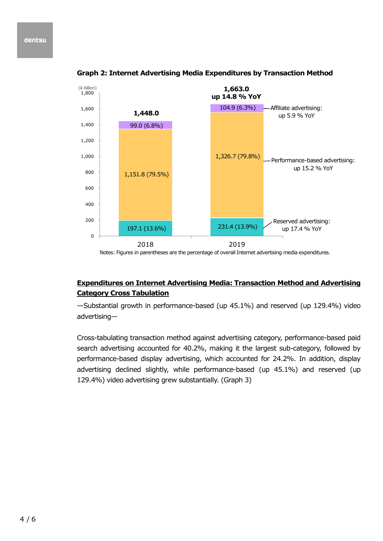#### dentsu



**Graph 2: Internet Advertising Media Expenditures by Transaction Method**

Notes: Figures in parentheses are the percentage of overall Internet advertising media expenditures.

# **Expenditures on Internet Advertising Media: Transaction Method and Advertising Category Cross Tabulation**

—Substantial growth in performance-based (up 45.1%) and reserved (up 129.4%) video advertising—

Cross-tabulating transaction method against advertising category, performance-based paid search advertising accounted for 40.2%, making it the largest sub-category, followed by performance-based display advertising, which accounted for 24.2%. In addition, display advertising declined slightly, while performance-based (up 45.1%) and reserved (up 129.4%) video advertising grew substantially. (Graph 3)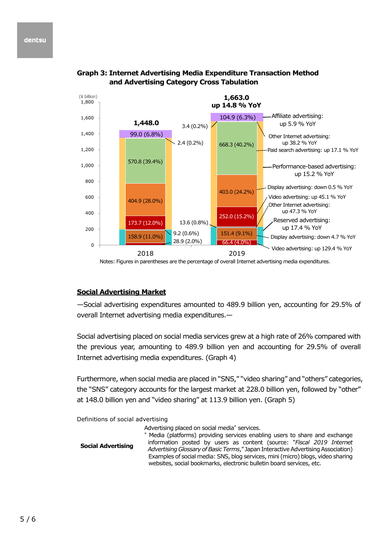

**Graph 3: Internet Advertising Media Expenditure Transaction Method and Advertising Category Cross Tabulation**

Notes: Figures in parentheses are the percentage of overall Internet advertising media expenditures.

# **Social Advertising Market**

—Social advertising expenditures amounted to 489.9 billion yen, accounting for 29.5% of overall Internet advertising media expenditures.—

Social advertising placed on social media services grew at a high rate of 26% compared with the previous year, amounting to 489.9 billion yen and accounting for 29.5% of overall Internet advertising media expenditures. (Graph 4)

Furthermore, when social media are placed in "SNS," "video sharing" and "others" categories, the "SNS" category accounts for the largest market at 228.0 billion yen, followed by "other" at 148.0 billion yen and "video sharing" at 113.9 billion yen. (Graph 5)

Definitions of social advertising

| ייים ומינושים של השפט השימות השפט המ |                                                                                                                                                                                                                                                                                                                                                                                                                                                                  |
|--------------------------------------|------------------------------------------------------------------------------------------------------------------------------------------------------------------------------------------------------------------------------------------------------------------------------------------------------------------------------------------------------------------------------------------------------------------------------------------------------------------|
| <b>Social Advertising</b>            | Advertising placed on social media <sup>*</sup> services.<br>* Media (platforms) providing services enabling users to share and exchange<br>information posted by users as content (source: "Fiscal 2019 Internet<br>Advertising Glossary of Basic Terms," Japan Interactive Advertising Association)<br>Examples of social media: SNS, blog services, mini (micro) blogs, video sharing<br>websites, social bookmarks, electronic bulletin board services, etc. |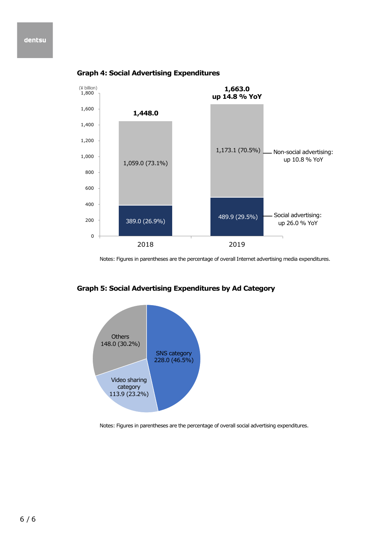#### dentsu



## **Graph 4: Social Advertising Expenditures**

Notes: Figures in parentheses are the percentage of overall Internet advertising media expenditures.



## **Graph 5: Social Advertising Expenditures by Ad Category**

Notes: Figures in parentheses are the percentage of overall social advertising expenditures.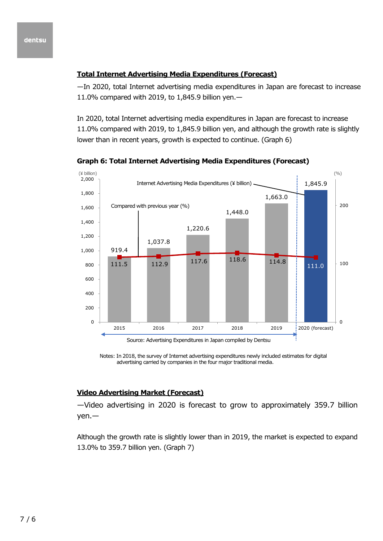## **Total Internet Advertising Media Expenditures (Forecast)**

—In 2020, total Internet advertising media expenditures in Japan are forecast to increase 11.0% compared with 2019, to 1,845.9 billion yen.—

In 2020, total Internet advertising media expenditures in Japan are forecast to increase 11.0% compared with 2019, to 1,845.9 billion yen, and although the growth rate is slightly lower than in recent years, growth is expected to continue. (Graph 6)



**Graph 6: Total Internet Advertising Media Expenditures (Forecast)**

Notes: In 2018, the survey of Internet advertising expenditures newly included estimates for digital advertising carried by companies in the four major traditional media.

## **Video Advertising Market (Forecast)**

—Video advertising in 2020 is forecast to grow to approximately 359.7 billion yen.—

Although the growth rate is slightly lower than in 2019, the market is expected to expand 13.0% to 359.7 billion yen. (Graph 7)